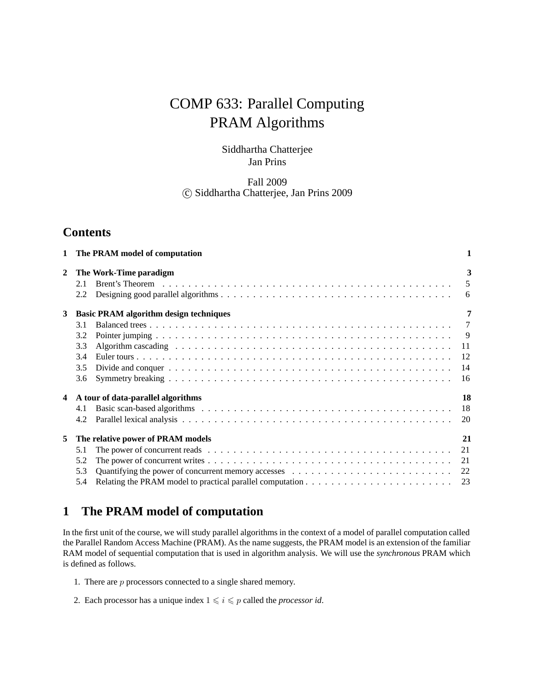# COMP 633: Parallel Computing PRAM Algorithms

## Siddhartha Chatterjee Jan Prins

## Fall 2009 -c Siddhartha Chatterjee, Jan Prins 2009

## **Contents**

| 1 | The PRAM model of computation                                                                                                                                                                                                                                                                                             | 1                                                 |
|---|---------------------------------------------------------------------------------------------------------------------------------------------------------------------------------------------------------------------------------------------------------------------------------------------------------------------------|---------------------------------------------------|
| 2 | The Work-Time paradigm<br>2.1<br>2.2                                                                                                                                                                                                                                                                                      | 3<br>5<br>-6                                      |
| 3 | <b>Basic PRAM algorithm design techniques</b><br>3.1<br>3.2<br>3.3<br>Algorithm cascading enterpreteration of the contract of the contract of the contract of the contract of the contract of the contract of the contract of the contract of the contract of the contract of the contract of the co<br>3.4<br>3.5<br>3.6 | 7<br>$\overline{7}$<br>-9<br>11<br>12<br>14<br>16 |
| 4 | A tour of data-parallel algorithms<br>4.1<br>4.2                                                                                                                                                                                                                                                                          | 18<br>18<br>20                                    |
| 5 | The relative power of PRAM models<br>5.1<br>5.2<br>5.3<br>5.4                                                                                                                                                                                                                                                             | 21<br>21<br>21<br>22                              |

## **1 The PRAM model of computation**

In the first unit of the course, we will study parallel algorithms in the context of a model of parallel computation called the Parallel Random Access Machine (PRAM). As the name suggests, the PRAM model is an extension of the familiar RAM model of sequential computation that is used in algorithm analysis. We will use the *synchronous* PRAM which is defined as follows.

- 1. There are  $p$  processors connected to a single shared memory.
- 2. Each processor has a unique index  $1 \leq i \leq p$  called the *processor id*.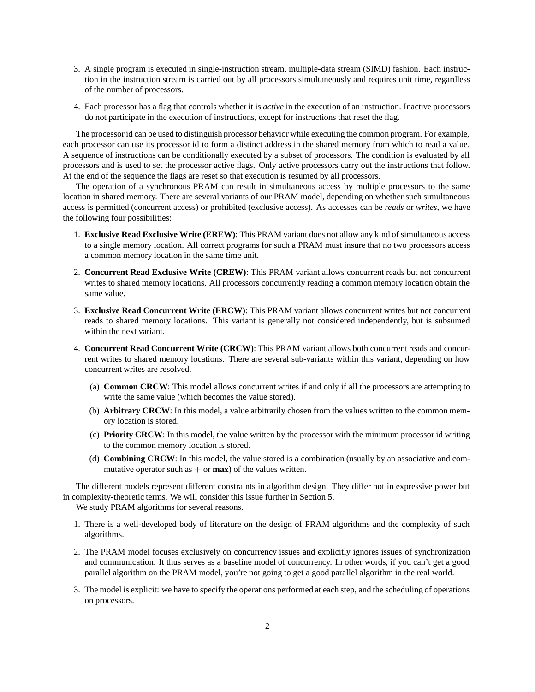- 3. A single program is executed in single-instruction stream, multiple-data stream (SIMD) fashion. Each instruction in the instruction stream is carried out by all processors simultaneously and requires unit time, regardless of the number of processors.
- 4. Each processor has a flag that controls whether it is *active* in the execution of an instruction. Inactive processors do not participate in the execution of instructions, except for instructions that reset the flag.

The processor id can be used to distinguish processor behavior while executing the common program. For example, each processor can use its processor id to form a distinct address in the shared memory from which to read a value. A sequence of instructions can be conditionally executed by a subset of processors. The condition is evaluated by all processors and is used to set the processor active flags. Only active processors carry out the instructions that follow. At the end of the sequence the flags are reset so that execution is resumed by all processors.

The operation of a synchronous PRAM can result in simultaneous access by multiple processors to the same location in shared memory. There are several variants of our PRAM model, depending on whether such simultaneous access is permitted (concurrent access) or prohibited (exclusive access). As accesses can be *reads* or *writes*, we have the following four possibilities:

- 1. **Exclusive Read Exclusive Write (EREW)**: This PRAM variant does not allow any kind of simultaneous access to a single memory location. All correct programs for such a PRAM must insure that no two processors access a common memory location in the same time unit.
- 2. **Concurrent Read Exclusive Write (CREW)**: This PRAM variant allows concurrent reads but not concurrent writes to shared memory locations. All processors concurrently reading a common memory location obtain the same value.
- 3. **Exclusive Read Concurrent Write (ERCW)**: This PRAM variant allows concurrent writes but not concurrent reads to shared memory locations. This variant is generally not considered independently, but is subsumed within the next variant.
- 4. **Concurrent Read Concurrent Write (CRCW)**: This PRAM variant allows both concurrent reads and concurrent writes to shared memory locations. There are several sub-variants within this variant, depending on how concurrent writes are resolved.
	- (a) **Common CRCW**: This model allows concurrent writes if and only if all the processors are attempting to write the same value (which becomes the value stored).
	- (b) **Arbitrary CRCW**: In this model, a value arbitrarily chosen from the values written to the common memory location is stored.
	- (c) **Priority CRCW**: In this model, the value written by the processor with the minimum processor id writing to the common memory location is stored.
	- (d) **Combining CRCW**: In this model, the value stored is a combination (usually by an associative and commutative operator such as  $+$  or **max**) of the values written.

The different models represent different constraints in algorithm design. They differ not in expressive power but in complexity-theoretic terms. We will consider this issue further in Section 5.

We study PRAM algorithms for several reasons.

- 1. There is a well-developed body of literature on the design of PRAM algorithms and the complexity of such algorithms.
- 2. The PRAM model focuses exclusively on concurrency issues and explicitly ignores issues of synchronization and communication. It thus serves as a baseline model of concurrency. In other words, if you can't get a good parallel algorithm on the PRAM model, you're not going to get a good parallel algorithm in the real world.
- 3. The model is explicit: we have to specify the operations performed at each step, and the scheduling of operations on processors.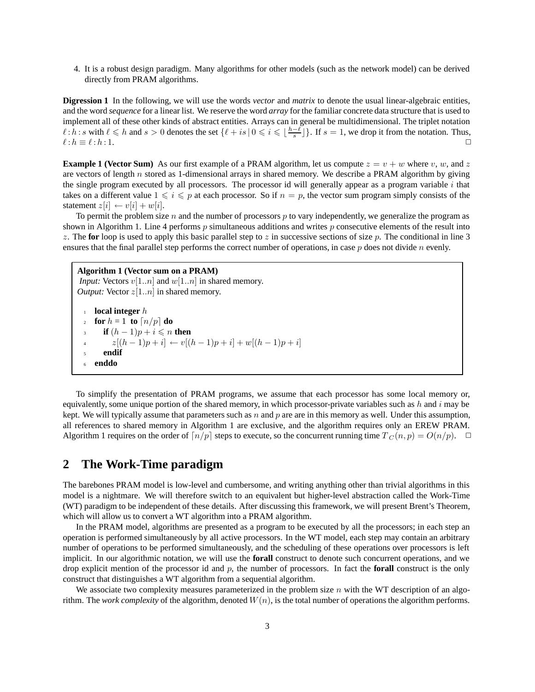4. It is a robust design paradigm. Many algorithms for other models (such as the network model) can be derived directly from PRAM algorithms.

**Digression 1** In the following, we will use the words *vector* and *matrix* to denote the usual linear-algebraic entities, and the word *sequence* for a linear list. We reserve the word *array* for the familiar concrete data structure that is used to implement all of these other kinds of abstract entities. Arrays can in general be multidimensional. The triplet notation  $\ell : h : s$  with  $\ell \le h$  and  $s > 0$  denotes the set  $\{\ell + is \mid 0 \le i \le \lfloor \frac{h-\ell}{s} \rfloor\}$ . If  $s = 1$ , we drop it from the notation. Thus,  $\ell : h = \ell : h : 1$  $\ell : h \equiv \ell$  $\ell : h : 1.$ 

**Example 1 (Vector Sum)** As our first example of a PRAM algorithm, let us compute  $z = v + w$  where v, w, and z are vectors of length  $n$  stored as 1-dimensional arrays in shared memory. We describe a PRAM algorithm by giving the single program executed by all processors. The processor id will generally appear as a program variable i that takes on a different value  $1 \leq i \leq p$  at each processor. So if  $n = p$ , the vector sum program simply consists of the statement  $z[i] \leftarrow v[i] + w[i]$ statement  $z[i] \leftarrow v[i] + w[i]$ .

To permit the problem size n and the number of processors  $p$  to vary independently, we generalize the program as shown in Algorithm 1. Line 4 performs  $p$  simultaneous additions and writes  $p$  consecutive elements of the result into z. The **for** loop is used to apply this basic parallel step to z in successive sections of size p. The conditional in line 3 ensures that the final parallel step performs the correct number of operations, in case  $p$  does not divide  $n$  evenly.

```
Algorithm 1 (Vector sum on a PRAM)
Input: Vectors v[1..n] and w[1..n] in shared memory.
Output: Vector z[1..n] in shared memory.
 1 local integer h
 2 for h = 1 to \lceil n/p \rceil do
  if (h-1)p + i \leq n then<br>\frac{z[(h-1)n+i]}{p} = n4 z[(h-1)p+i] \leftarrow v[(h-1)p+i] + w[(h-1)p+i]5 endif
 6 enddo
```
To simplify the presentation of PRAM programs, we assume that each processor has some local memory or, equivalently, some unique portion of the shared memory, in which processor-private variables such as  $h$  and  $i$  may be kept. We will typically assume that parameters such as n and p are are in this memory as well. Under this assumption, all references to shared memory in Algorithm 1 are exclusive, and the algorithm requires only an EREW PRAM. Algorithm 1 requires on the order of  $\lceil n/p \rceil$  steps to execute, so the concurrent running time  $T_c(n, p) = O(n/p)$ .  $\Box$ 

## **2 The Work-Time paradigm**

The barebones PRAM model is low-level and cumbersome, and writing anything other than trivial algorithms in this model is a nightmare. We will therefore switch to an equivalent but higher-level abstraction called the Work-Time (WT) paradigm to be independent of these details. After discussing this framework, we will present Brent's Theorem, which will allow us to convert a WT algorithm into a PRAM algorithm.

In the PRAM model, algorithms are presented as a program to be executed by all the processors; in each step an operation is performed simultaneously by all active processors. In the WT model, each step may contain an arbitrary number of operations to be performed simultaneously, and the scheduling of these operations over processors is left implicit. In our algorithmic notation, we will use the **forall** construct to denote such concurrent operations, and we drop explicit mention of the processor id and  $p$ , the number of processors. In fact the **forall** construct is the only construct that distinguishes a WT algorithm from a sequential algorithm.

We associate two complexity measures parameterized in the problem size  $n$  with the WT description of an algorithm. The *work complexity* of the algorithm, denoted  $W(n)$ , is the total number of operations the algorithm performs.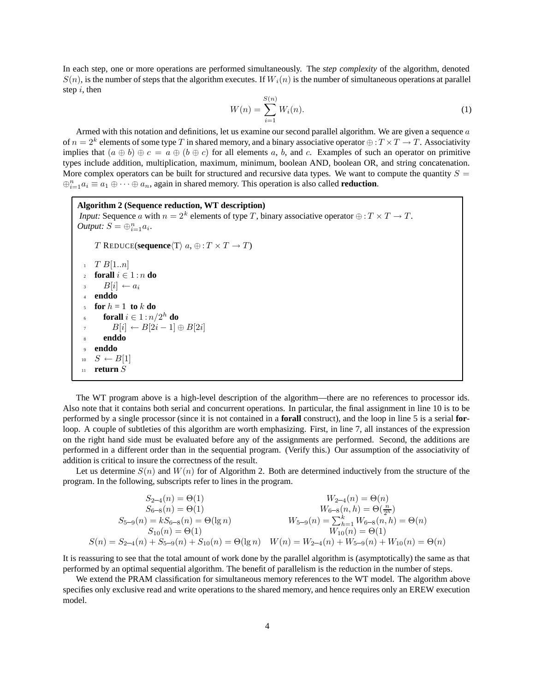In each step, one or more operations are performed simultaneously. The *step complexity* of the algorithm, denoted  $S(n)$ , is the number of steps that the algorithm executes. If  $W_i(n)$  is the number of simultaneous operations at parallel step  $i$ , then

$$
W(n) = \sum_{i=1}^{S(n)} W_i(n).
$$
 (1)

Armed with this notation and definitions, let us examine our second parallel algorithm. We are given a sequence  $a$ of  $n = 2^k$  elements of some type T in shared memory, and a binary associative operator  $\bigoplus$  :  $T \times T \to T$ . Associativity implies that  $(a \oplus b) \oplus c = a \oplus (b \oplus c)$  for all elements a, b, and c. Examples of such an operator on primitive types include addition, multiplication, maximum, minimum, boolean AND, boolean OR, and string concatenation. More complex operators can be built for structured and recursive data types. We want to compute the quantity  $S =$  $\bigoplus_{i=1}^{n} a_i \equiv a_1 \oplus \cdots \oplus a_n$ , again in shared memory. This operation is also called **reduction**.

```
Algorithm 2 (Sequence reduction, WT description)
Input: Sequence a with n = 2^k elements of type T, binary associative operator \oplus : T \times T \to T.
Output: S = \bigoplus_{i=1}^{n} a_i.
      T REDUCE(sequence\langle T \rangle a, \oplus : T \times T \rightarrow T)
  T B[1..n]<br>
forall i \inforall i \in 1 : n do
         B[i] \leftarrow a_i4 enddo
      for h = 1 to k do
         forall i \in 1 : n/2^h do
            B[i] \leftarrow B[2i-1] \oplus B[2i]8 enddo
      9 enddo
 10 S ← B[1]<br>11 return S
      return S
```
The WT program above is a high-level description of the algorithm—there are no references to processor ids. Also note that it contains both serial and concurrent operations. In particular, the final assignment in line 10 is to be performed by a single processor (since it is not contained in a **forall** construct), and the loop in line 5 is a serial **for**loop. A couple of subtleties of this algorithm are worth emphasizing. First, in line 7, all instances of the expression on the right hand side must be evaluated before any of the assignments are performed. Second, the additions are performed in a different order than in the sequential program. (Verify this.) Our assumption of the associativity of addition is critical to insure the correctness of the result.

Let us determine  $S(n)$  and  $W(n)$  for of Algorithm 2. Both are determined inductively from the structure of the program. In the following, subscripts refer to lines in the program.

$$
S_{2-4}(n) = \Theta(1)
$$
  
\n
$$
S_{6-8}(n) = \Theta(1)
$$
  
\n
$$
S_{5-9}(n) = kS_{6-8}(n) = \Theta(\lg n)
$$
  
\n
$$
S_{10}(n) = \Theta(1)
$$
  
\n
$$
S(n) = S_{2-4}(n) + S_{5-9}(n) + S_{10}(n) = \Theta(\lg n)
$$
  
\n
$$
W_{5-9}(n) = \sum_{h=1}^{k} W_{6-8}(n, h) = \Theta(n)
$$
  
\n
$$
W_{10}(n) = \Theta(1)
$$
  
\n
$$
W_{10}(n) = \Theta(1)
$$
  
\n
$$
W_{10}(n) = \Theta(1)
$$
  
\n
$$
W_{2-4}(n) + W_{5-9}(n) + W_{10}(n) = \Theta(n)
$$

It is reassuring to see that the total amount of work done by the parallel algorithm is (asymptotically) the same as that performed by an optimal sequential algorithm. The benefit of parallelism is the reduction in the number of steps.

We extend the PRAM classification for simultaneous memory references to the WT model. The algorithm above specifies only exclusive read and write operations to the shared memory, and hence requires only an EREW execution model.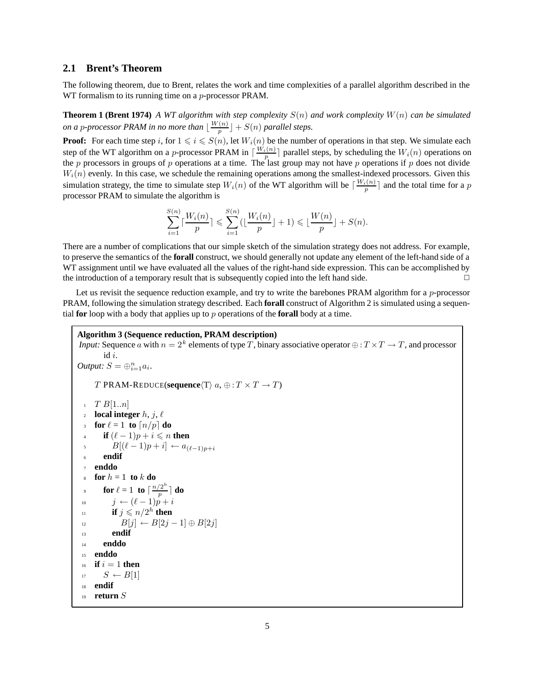#### **2.1 Brent's Theorem**

The following theorem, due to Brent, relates the work and time complexities of a parallel algorithm described in the WT formalism to its running time on a *p*-processor PRAM.

**Theorem 1 (Brent 1974)** *A WT algorithm with step complexity* <sup>S</sup>(n) *and work complexity* <sup>W</sup>(n) *can be simulated on a p-processor PRAM in no more than*  $\lfloor \frac{W(n)}{p} \rfloor + S(n)$  *parallel steps.* 

**Proof:** For each time step *i*, for  $1 \le i \le S(n)$ , let  $W_i(n)$  be the number of operations in that step. We simulate each step of the WT algorithm on a *p*-processor PRAM in  $\lceil \frac{W_i(n)}{p} \rceil$  parallel steps, by scheduling **Proof:** For each time step i, for  $1 \leq i \leq S(n)$ , let  $W_i(n)$  be the number of operations in that step. We simulate each  $W_i(n)$  evenly. In this case, we schedule the remaining operations among the smallest-indexed processors. Given this simulation strategy, the time to simulate step  $W_i(n)$  of the WT algorithm will be  $\lceil \frac{W_i(n)}{p} \rceil$  and the total time for a p<br>processor PRAM to simulate the algorithm is processor PRAM to simulate the algorithm is

$$
\sum_{i=1}^{S(n)}\lceil\frac{W_i(n)}{p}\rceil\leqslant \sum_{i=1}^{S(n)}(\lfloor\frac{W_i(n)}{p}\rfloor+1)\leqslant \lfloor\frac{W(n)}{p}\rfloor+S(n).
$$

There are a number of complications that our simple sketch of the simulation strategy does not address. For example, to preserve the semantics of the **forall** construct, we should generally not update any element of the left-hand side of a WT assignment until we have evaluated all the values of the right-hand side expression. This can be accomplished by the introduction of a temporary result that is subsequently copied into the left hand side.  $\Box$ 

Let us revisit the sequence reduction example, and try to write the barebones PRAM algorithm for a  $p$ -processor PRAM, following the simulation strategy described. Each **forall** construct of Algorithm 2 is simulated using a sequential **for** loop with a body that applies up to p operations of the **forall** body at a time.

**Algorithm 3 (Sequence reduction, PRAM description)** *Input:* Sequence a with  $n = 2^k$  elements of type T, binary associative operator  $\oplus$  :  $T \times T \to T$ , and processor id i. *Output:*  $S = \bigoplus_{i=1}^{n} a_i$ . T PRAM-REDUCE(**sequence** $\langle T \rangle$   $a, \oplus : T \times T \rightarrow T$ )  $T B[1..n]$ <br>2 **local inter-2 local integer**  $h, j, \ell$ 3 **for**  $\ell = 1$  **to**  $\lceil n/p \rceil$  **do if**  $(\ell - 1)p + i \leq n$  then<br> $B[(\ell - 1)p + i] \leftarrow a_{\ell}$  $\begin{array}{ll} \text{5} & B[(\ell-1)p+i] \leftarrow a_{(\ell-1)p+i} \ \text{5} & \text{endif} \end{array}$ <sup>6</sup> **endif** <sup>7</sup> **enddo** 8 **for**  $h = 1$  **to** k **do for**  $\ell = 1$  **to**  $\lceil \frac{n/2^h}{p} \rceil$  **do** 10  $j \leftarrow (\ell - 1)p + i$ <br>
if  $j \leq p/2^h$  then if  $j \leq n/2^h$  **then**<br> $B[i] \leftarrow B[i]$ 12  $B[j] \leftarrow B[2j-1] \oplus B[2j]$ <br>13 **endif** <sup>13</sup> **endif** <sup>14</sup> **enddo** <sup>15</sup> **enddo**  $\begin{array}{ll} \n\text{if } i = 1 \text{ then} \\
\text{if } S \leftarrow B[1]\n\end{array}$ 17  $S \leftarrow B[1]$ <br>18 **endif** <sup>18</sup> **endif** <sup>19</sup> **return** S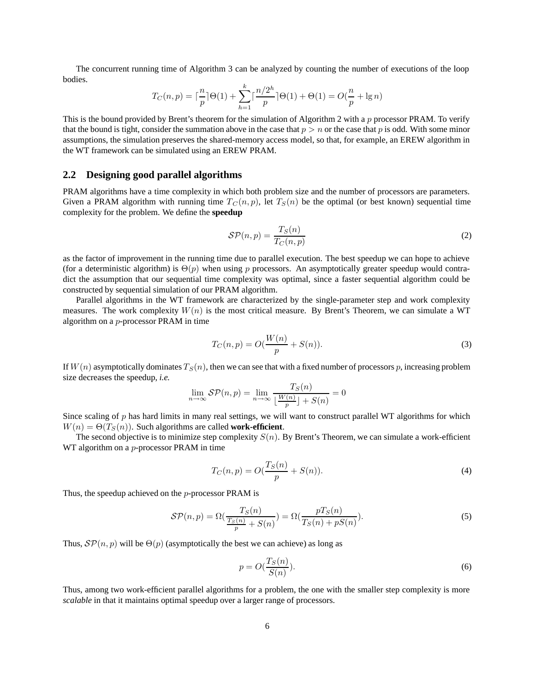The concurrent running time of Algorithm 3 can be analyzed by counting the number of executions of the loop **bodies** 

$$
T_C(n, p) = \lceil \frac{n}{p} \rceil \Theta(1) + \sum_{h=1}^k \lceil \frac{n/2^h}{p} \rceil \Theta(1) + \Theta(1) = O(\frac{n}{p} + \lg n)
$$

This is the bound provided by Brent's theorem for the simulation of Algorithm 2 with a  $p$  processor PRAM. To verify that the bound is tight, consider the summation above in the case that  $p > n$  or the case that p is odd. With some minor assumptions, the simulation preserves the shared-memory access model, so that, for example, an EREW algorithm in the WT framework can be simulated using an EREW PRAM.

#### **2.2 Designing good parallel algorithms**

PRAM algorithms have a time complexity in which both problem size and the number of processors are parameters. Given a PRAM algorithm with running time  $T_C(n, p)$ , let  $T_S(n)$  be the optimal (or best known) sequential time complexity for the problem. We define the **speedup**

$$
\mathcal{SP}(n, p) = \frac{T_S(n)}{T_C(n, p)}
$$
\n(2)

as the factor of improvement in the running time due to parallel execution. The best speedup we can hope to achieve (for a deterministic algorithm) is  $\Theta(p)$  when using p processors. An asymptotically greater speedup would contradict the assumption that our sequential time complexity was optimal, since a faster sequential algorithm could be constructed by sequential simulation of our PRAM algorithm.

Parallel algorithms in the WT framework are characterized by the single-parameter step and work complexity measures. The work complexity  $W(n)$  is the most critical measure. By Brent's Theorem, we can simulate a WT algorithm on a p-processor PRAM in time

$$
T_C(n, p) = O(\frac{W(n)}{p} + S(n)).
$$
\n(3)

If  $W(n)$  asymptotically dominates  $T_S(n)$ , then we can see that with a fixed number of processors p, increasing problem size decreases the speedup, *i.e.*

$$
\lim_{n \to \infty} \mathcal{SP}(n, p) = \lim_{n \to \infty} \frac{T_S(n)}{\lfloor \frac{W(n)}{p} \rfloor + S(n)} = 0
$$

Since scaling of  $p$  has hard limits in many real settings, we will want to construct parallel WT algorithms for which  $W(n) = \Theta(T_S(n))$ . Such algorithms are called **work-efficient**.

The second objective is to minimize step complexity  $S(n)$ . By Brent's Theorem, we can simulate a work-efficient WT algorithm on a *p*-processor PRAM in time

$$
T_C(n, p) = O(\frac{T_S(n)}{p} + S(n)).
$$
\n(4)

Thus, the speedup achieved on the p-processor PRAM is

$$
SP(n,p) = \Omega\left(\frac{T_S(n)}{\frac{T_S(n)}{p} + S(n)}\right) = \Omega\left(\frac{pT_S(n)}{T_S(n) + pS(n)}\right). \tag{5}
$$

Thus,  $\mathcal{SP}(n, p)$  will be  $\Theta(p)$  (asymptotically the best we can achieve) as long as

$$
p = O(\frac{T_S(n)}{S(n)}).
$$
\n<sup>(6)</sup>

Thus, among two work-efficient parallel algorithms for a problem, the one with the smaller step complexity is more *scalable* in that it maintains optimal speedup over a larger range of processors.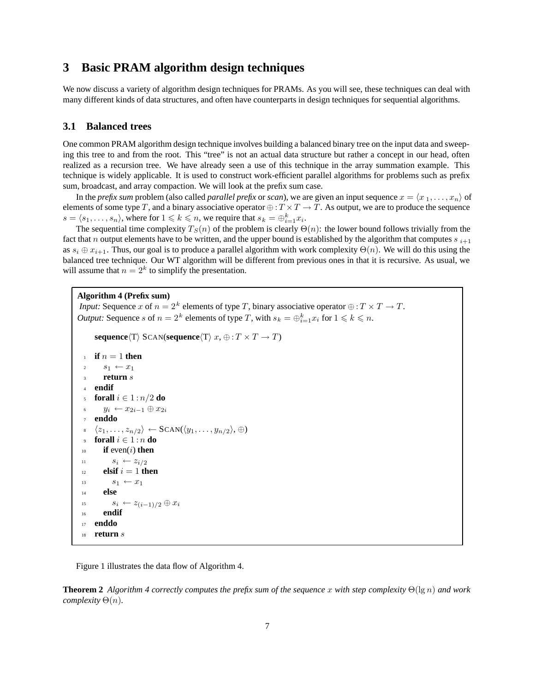## **3 Basic PRAM algorithm design techniques**

We now discuss a variety of algorithm design techniques for PRAMs. As you will see, these techniques can deal with many different kinds of data structures, and often have counterparts in design techniques for sequential algorithms.

#### **3.1 Balanced trees**

One common PRAM algorithm design technique involves building a balanced binary tree on the input data and sweeping this tree to and from the root. This "tree" is not an actual data structure but rather a concept in our head, often realized as a recursion tree. We have already seen a use of this technique in the array summation example. This technique is widely applicable. It is used to construct work-efficient parallel algorithms for problems such as prefix sum, broadcast, and array compaction. We will look at the prefix sum case.

In the *prefix sum* problem (also called *parallel prefix* or *scan*), we are given an input sequence  $x = \langle x_1, \ldots, x_n \rangle$  of elements of some type T, and a binary associative operator  $\oplus$  :  $T \times T \to T$ . As output, we are to produce the sequence  $s = \langle s_1, \ldots, s_n \rangle$ , where for  $1 \leq k \leq n$ , we require that  $s_k = \bigoplus_{i=1}^k x_i$ .<br>The sequential time complexity  $T_c(n)$  of the problem is clearly  $\Theta$ 

The sequential time complexity  $T_S(n)$  of the problem is clearly  $\Theta(n)$ : the lower bound follows trivially from the fact that n output elements have to be written, and the upper bound is established by the algorithm that computes  $s_{i+1}$ as  $s_i \oplus x_{i+1}$ . Thus, our goal is to produce a parallel algorithm with work complexity  $\Theta(n)$ . We will do this using the balanced tree technique. Our WT algorithm will be different from previous ones in that it is recursive. As usual, we will assume that  $n = 2<sup>k</sup>$  to simplify the presentation.

#### **Algorithm 4 (Prefix sum)**

```
Input: Sequence x of n = 2^k elements of type T, binary associative operator \oplus : T \times T \to T.
Output: Sequence s of n = 2^k elements of type T, with s_k = \bigoplus_{i=1}^k x_i for 1 \leq k \leq n.
```

```
sequence\langle T \rangle SCAN(sequence\langle T \rangle x, \oplus : T \times T \rightarrow T)
```

```
\iint_{2}^{1} n = 1 then<br>\iint_{2}^{1} s_1 \leftarrow r_1s_1 \leftarrow x_13 return s
 4 endif
      forall i \in 1 : n/2 do
          y_i \leftarrow x_{2i-1} \oplus x_{2i}7 enddo
 \langle z_1, \ldots, z_{n/2} \rangle ← SCAN(\langle y_1, \ldots, y_{n/2} \rangle, ⊕)
9 forall i \in 1 : n do<br>if even(i) then
          if even(i) then
11 s_i \leftarrow z_{i/2}12 elsif i = 1 then<br>
13 s_1 \leftarrow x_1s_1 \leftarrow x_114 else
15 s_i \leftarrow z_{(i-1)/2} \oplus x_i16 endif
17 enddo
18 return s
```
Figure 1 illustrates the data flow of Algorithm 4.

**Theorem 2** *Algorithm 4 correctly computes the prefix sum of the sequence* x *with step complexity*  $\Theta(\lg n)$  *and work complexity* Θ(n)*.*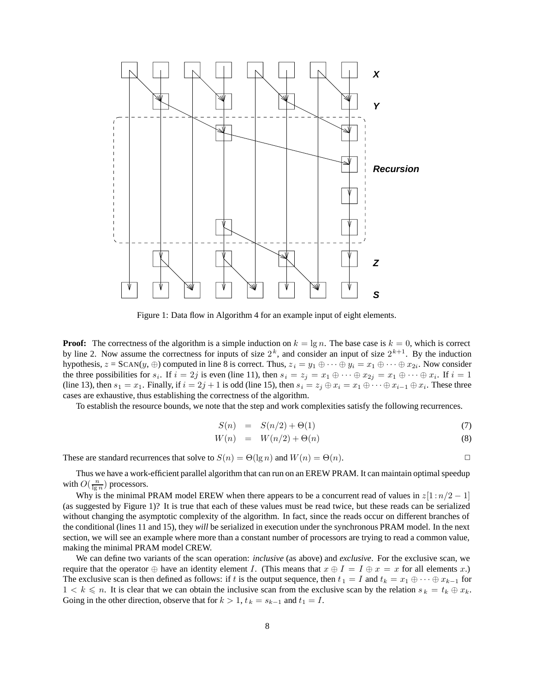

Figure 1: Data flow in Algorithm 4 for an example input of eight elements.

**Proof:** The correctness of the algorithm is a simple induction on  $k = \lg n$ . The base case is  $k = 0$ , which is correct by line 2. Now assume the correctness for inputs of size  $2^k$ , and consider an input of size  $2^{k+1}$ . By the induction hypothesis,  $z = SCAN(y, \oplus)$  computed in line 8 is correct. Thus,  $z_i = y_1 \oplus \cdots \oplus y_i = x_1 \oplus \cdots \oplus x_{2i}$ . Now consider the three possibilities for  $s_i$ . If  $i = 2j$  is even (line 11), then  $s_i = z_j = x_1 \oplus \cdots \oplus x_{2j} = x_1 \oplus \cdots \oplus x_i$ . If  $i = 1$ (line 13), then  $s_1 = x_1$ . Finally, if  $i = 2j + 1$  is odd (line 15), then  $s_i = z_j \oplus x_i = x_1 \oplus \cdots \oplus x_{i-1} \oplus x_i$ . These three cases are exhaustive, thus establishing the correctness of the algorithm.

To establish the resource bounds, we note that the step and work complexities satisfy the following recurrences.

$$
S(n) = S(n/2) + \Theta(1) \tag{7}
$$

$$
W(n) = W(n/2) + \Theta(n) \tag{8}
$$

These are standard recurrences that solve to  $S(n) = \Theta(\lg n)$  and  $W(n) = \Theta(n)$ .

Thus we have a work-efficient parallel algorithm that can run on an EREW PRAM. It can maintain optimal speedup with  $O(\frac{n}{\lg n})$  processors.

Why is the minimal PRAM model EREW when there appears to be a concurrent read of values in  $z[1:n/2 - 1]$ (as suggested by Figure 1)? It is true that each of these values must be read twice, but these reads can be serialized without changing the asymptotic complexity of the algorithm. In fact, since the reads occur on different branches of the conditional (lines 11 and 15), they *will* be serialized in execution under the synchronous PRAM model. In the next section, we will see an example where more than a constant number of processors are trying to read a common value, making the minimal PRAM model CREW.

We can define two variants of the scan operation: *inclusive* (as above) and *exclusive*. For the exclusive scan, we require that the operator  $\oplus$  have an identity element I. (This means that  $x \oplus I = I \oplus x = x$  for all elements x.) The exclusive scan is then defined as follows: if t is the output sequence, then  $t_1 = I$  and  $t_k = x_1 \oplus \cdots \oplus x_{k-1}$  for  $1 < k \le n$ . It is clear that we can obtain the inclusive scan from the exclusive scan by the relation  $s_k = t_k \oplus x_k$ .<br>Going in the other direction, observe that for  $k > 1$ ,  $t_k = s_{k+1}$  and  $t_k = I$ Going in the other direction, observe that for  $k > 1$ ,  $t_k = s_{k-1}$  and  $t_1 = I$ .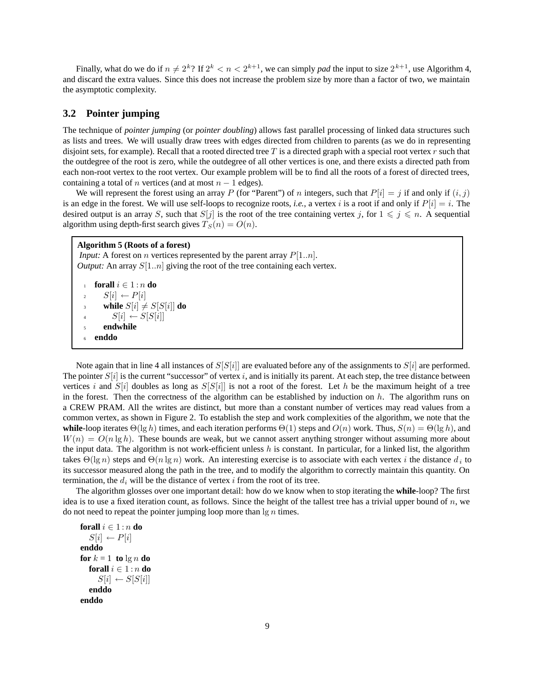Finally, what do we do if  $n \neq 2^k$ ? If  $2^k < n < 2^{k+1}$ , we can simply *pad* the input to size  $2^{k+1}$ , use Algorithm 4, and discard the extra values. Since this does not increase the problem size by more than a factor of two, we maintain the asymptotic complexity.

#### **3.2 Pointer jumping**

The technique of *pointer jumping* (or *pointer doubling*) allows fast parallel processing of linked data structures such as lists and trees. We will usually draw trees with edges directed from children to parents (as we do in representing disjoint sets, for example). Recall that a rooted directed tree T is a directed graph with a special root vertex  $r$  such that the outdegree of the root is zero, while the outdegree of all other vertices is one, and there exists a directed path from each non-root vertex to the root vertex. Our example problem will be to find all the roots of a forest of directed trees, containing a total of *n* vertices (and at most  $n - 1$  edges).

We will represent the forest using an array P (for "Parent") of n integers, such that  $P[i] = j$  if and only if  $(i, j)$ is an edge in the forest. We will use self-loops to recognize roots, *i.e.*, a vertex i is a root if and only if  $P[i] = i$ . The desired output is an array S, such that  $S[j]$  is the root of the tree containing vertex j, for  $1 \le j \le n$ . A sequential algorithm using depth-first search gives  $T_G(n) = O(n)$ algorithm using depth-first search gives  $T_S(n) = O(n)$ .

#### **Algorithm 5 (Roots of a forest)**

*Input:* A forest on *n* vertices represented by the parent array  $P[1..n]$ . *Output:* An array  $S[1..n]$  giving the root of the tree containing each vertex.

```
forall i \in 1 : n do
       S[i] \leftarrow P[i]1 while S[i] \neq S[S[i]] do<br>S[i] \leftarrow S[S[i]]4 S[i] \leftarrow S[S[i]]5 endwhile
   6 enddo
```
Note again that in line 4 all instances of  $S[S[i]]$  are evaluated before any of the assignments to  $S[i]$  are performed. The pointer  $S[i]$  is the current "successor" of vertex i, and is initially its parent. At each step, the tree distance between vertices i and  $S[i]$  doubles as long as  $S[S[i]]$  is not a root of the forest. Let h be the maximum height of a tree in the forest. Then the correctness of the algorithm can be established by induction on  $h$ . The algorithm runs on a CREW PRAM. All the writes are distinct, but more than a constant number of vertices may read values from a common vertex, as shown in Figure 2. To establish the step and work complexities of the algorithm, we note that the **while**-loop iterates  $\Theta(\lg h)$  times, and each iteration performs  $\Theta(1)$  steps and  $O(n)$  work. Thus,  $S(n) = \Theta(\lg h)$ , and  $W(n) = O(n \lg h)$ . These bounds are weak, but we cannot assert anything stronger without assuming more about the input data. The algorithm is not work-efficient unless h is constant. In particular, for a linked list, the algorithm takes  $\Theta(\lg n)$  steps and  $\Theta(n \lg n)$  work. An interesting exercise is to associate with each vertex i the distance  $d_i$  to its successor measured along the path in the tree, and to modify the algorithm to correctly maintain this quantity. On termination, the  $d_i$  will be the distance of vertex i from the root of its tree.

The algorithm glosses over one important detail: how do we know when to stop iterating the **while**-loop? The first idea is to use a fixed iteration count, as follows. Since the height of the tallest tree has a trivial upper bound of  $n$ , we do not need to repeat the pointer jumping loop more than  $\lg n$  times.

**forall**  $i \in 1:n$  **do**  $S[i] \leftarrow P[i]$ **enddo for**  $k = 1$  **to**  $\lg n$  **do forall**  $i \in 1:n$  **do**  $S[i] \leftarrow S[S[i]]$ **enddo enddo**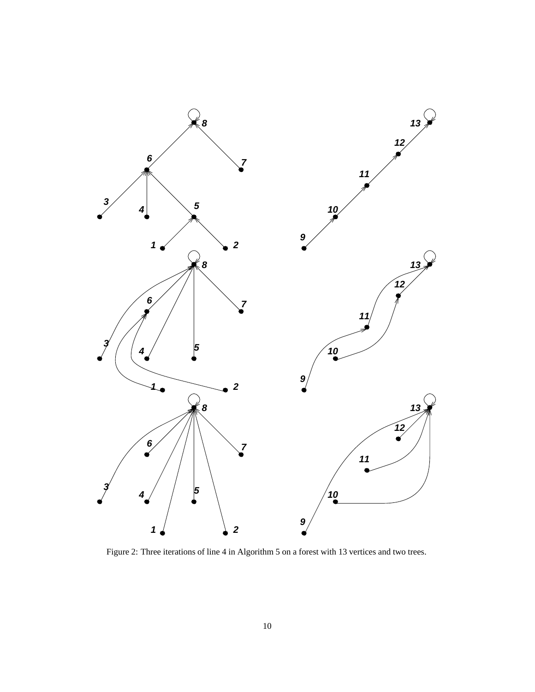

Figure 2: Three iterations of line 4 in Algorithm 5 on a forest with 13 vertices and two trees.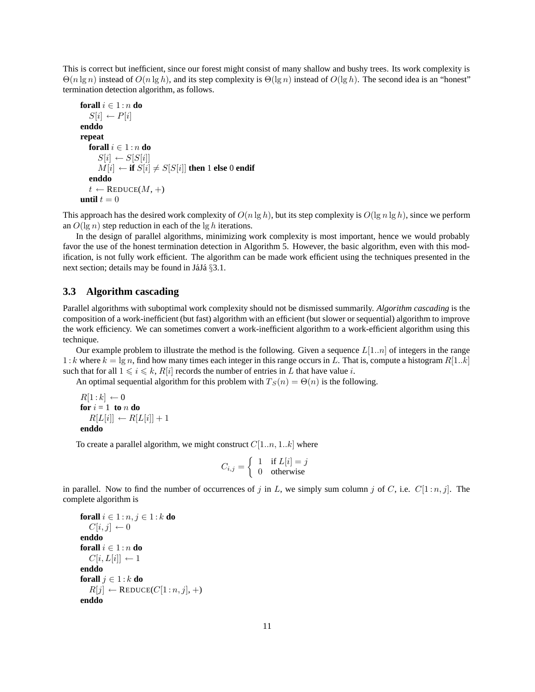This is correct but inefficient, since our forest might consist of many shallow and bushy trees. Its work complexity is  $\Theta(n \lg n)$  instead of  $O(n \lg h)$ , and its step complexity is  $\Theta(\lg n)$  instead of  $O(\lg h)$ . The second idea is an "honest" termination detection algorithm, as follows.

```
forall i \in 1 : n do
    S[i] \leftarrow P[i]enddo
repeat
    forall i \in 1:n do
         S[i] \leftarrow S[S[i]]\overrightarrow{M[i]} \leftarrow \overrightarrow{if} \ \overrightarrow{S[i]} \neq \overrightarrow{S[S[i]]} \ \overrightarrow{then} \ 1 \ \overrightarrow{else} \ 0 \ \overrightarrow{endif}enddo
    t \leftarrow \text{REDUCE}(M, +)until t = 0
```
This approach has the desired work complexity of  $O(n \lg h)$ , but its step complexity is  $O(\lg n \lg h)$ , since we perform an  $O(\lg n)$  step reduction in each of the  $\lg h$  iterations.

In the design of parallel algorithms, minimizing work complexity is most important, hence we would probably favor the use of the honest termination detection in Algorithm 5. However, the basic algorithm, even with this modification, is not fully work efficient. The algorithm can be made work efficient using the techniques presented in the next section; details may be found in JáJá  $\S 3.1$ .

#### **3.3 Algorithm cascading**

Parallel algorithms with suboptimal work complexity should not be dismissed summarily. *Algorithm cascading* is the composition of a work-inefficient (but fast) algorithm with an efficient (but slower or sequential) algorithm to improve the work efficiency. We can sometimes convert a work-inefficient algorithm to a work-efficient algorithm using this technique.

Our example problem to illustrate the method is the following. Given a sequence  $L[1..n]$  of integers in the range 1 : k where  $k = \lg n$ , find how many times each integer in this range occurs in L. That is, compute a histogram  $R[1..k]$ such that for all  $1 \le i \le k$ ,  $R[i]$  records the number of entries in L that have value i.<br>An optimal sequential algorithm for this problem with  $T_G(n) - \Theta(n)$  is the following

An optimal sequential algorithm for this problem with  $T_S(n) = \Theta(n)$  is the following.

 $R[1:k] \leftarrow 0$ **for**  $i = 1$  **to**  $n$  **do**  $R[L[i]] \leftarrow R[L[i]] + 1$ **enddo**

To create a parallel algorithm, we might construct  $C[1..n, 1..k]$  where

$$
C_{i,j} = \begin{cases} 1 & \text{if } L[i] = j \\ 0 & \text{otherwise} \end{cases}
$$

in parallel. Now to find the number of occurrences of j in L, we simply sum column j of C, i.e.  $C[1:n, j]$ . The complete algorithm is

```
forall i \in 1:n, j \in 1:k do
  C[i, j] \leftarrow 0enddo
forall i \in 1:n do
  C[i, L[i]] \leftarrow 1enddo
forall j \in 1 : k do
   R[j] \leftarrow \text{REDUCE}(C[1:n, j], +)enddo
```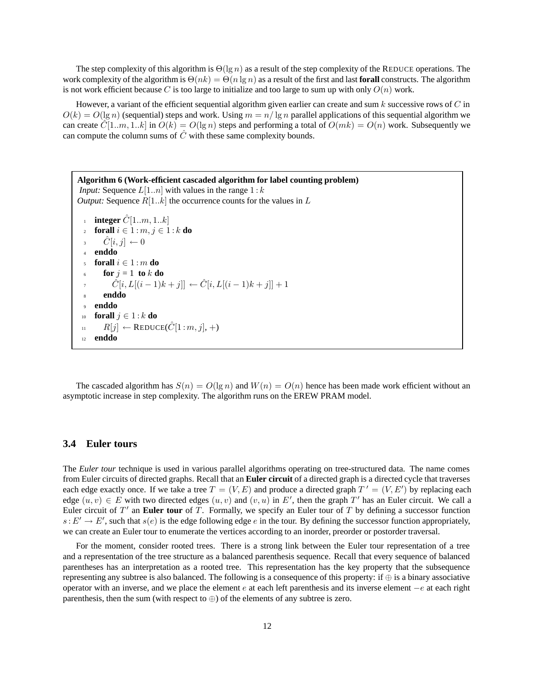The step complexity of this algorithm is  $\Theta(\lg n)$  as a result of the step complexity of the REDUCE operations. The work complexity of the algorithm is  $\Theta(nk) = \Theta(n \lg n)$  as a result of the first and last **forall** constructs. The algorithm is not work efficient because C is too large to initialize and too large to sum up with only  $O(n)$  work.

However, a variant of the efficient sequential algorithm given earlier can create and sum  $k$  successive rows of  $C$  in  $O(k) = O(\lg n)$  (sequential) steps and work. Using  $m = n/\lg n$  parallel applications of this sequential algorithm we can create  $\tilde{C}[1..m, 1..k]$  in  $O(k) = O(\lg n)$  steps and performing a total of  $O(mk) = O(n)$  work. Subsequently we can compute the column sums of  $\hat{C}$  with these same complexity bounds.

**Algorithm 6 (Work-efficient cascaded algorithm for label counting problem)** *Input:* Sequence  $L[1..n]$  with values in the range  $1:k$ *Output:* Sequence  $R[1..k]$  the occurrence counts for the values in  $L$ **integer**  $C[1..m, 1..k]$ **forall**  $i \in 1$  :  $m, j \in 1$  :  $k$  **do**  $\hat{C}[i, j] \leftarrow 0$ <br>4 **enddo** <sup>4</sup> **enddo forall**  $i \in 1$  : m **do** for  $j = 1$  to  $k$  do  $\tilde{C}[i, L[(i-1)k + j]] \leftarrow \hat{C}[i, L[(i-1)k + j]] + 1$ <sup>8</sup> **enddo** <sup>9</sup> **enddo** 10 **forall**  $j \in 1: k$  **do**<br>11  $R[i] \leftarrow$  **REDUC** 11  $R[j]$  ← REDUCE( $\hat{C}[1:m, j]$ , +)<br> **enddo** <sup>12</sup> **enddo**

The cascaded algorithm has  $S(n) = O(\lg n)$  and  $W(n) = O(n)$  hence has been made work efficient without an asymptotic increase in step complexity. The algorithm runs on the EREW PRAM model.

### **3.4 Euler tours**

The *Euler tour* technique is used in various parallel algorithms operating on tree-structured data. The name comes from Euler circuits of directed graphs. Recall that an **Euler circuit** of a directed graph is a directed cycle that traverses each edge exactly once. If we take a tree  $T = (V, E)$  and produce a directed graph  $T' = (V, E')$  by replacing each edge  $(u, v) \in E$  with two directed edges  $(u, v)$  and  $(v, u)$  in  $E'$  then the graph  $T'$  has an Fuler circuit. We c edge  $(u, v) \in E$  with two directed edges  $(u, v)$  and  $(v, u)$  in E', then the graph T' has an Euler circuit. We call a<br>Fuler circuit of T' an **Euler tour** of T. Formally, we specify an Euler tour of T by defining a successor f Euler circuit of T' an **Euler tour** of T. Formally, we specify an Euler tour of T by defining a successor function  $s: E' \to E'$ , such that  $s(e)$  is the edge following edge e in the tour. By defining the successor function appropriately, we can create an Euler tour to enumerate the vertices according to an inorder, preorder or postorder traversal.

For the moment, consider rooted trees. There is a strong link between the Euler tour representation of a tree and a representation of the tree structure as a balanced parenthesis sequence. Recall that every sequence of balanced parentheses has an interpretation as a rooted tree. This representation has the key property that the subsequence representing any subtree is also balanced. The following is a consequence of this property: if  $\oplus$  is a binary associative operator with an inverse, and we place the element e at each left parenthesis and its inverse element  $-e$  at each right parenthesis, then the sum (with respect to  $\oplus$ ) of the elements of any subtree is zero.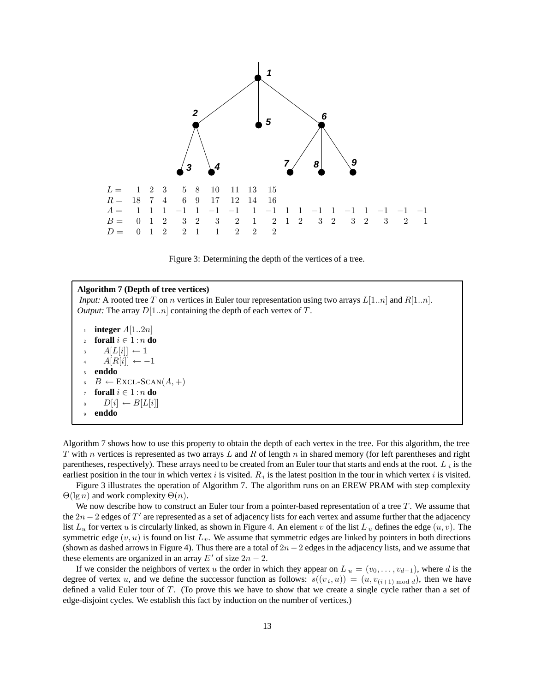

Figure 3: Determining the depth of the vertices of a tree.

#### **Algorithm 7 (Depth of tree vertices)**

*Input:* A rooted tree T on n vertices in Euler tour representation using two arrays  $L[1..n]$  and  $R[1..n]$ . *Output:* The array  $D[1..n]$  containing the depth of each vertex of T.

**i integer**  $A[1..2n]$ <br>*i* **forall**  $i \in 1:n$  **d forall**  $i \in 1 : n$  **do**  $A[L[i]] \leftarrow 1$  $A[R[i]] \leftarrow -1$ <sup>5</sup> **enddo**  $B \leftarrow$  EXCL-SCAN $(A, +)$ forall  $i \in 1 : n$  do  $D[i] \leftarrow B[L[i]]$ <sup>9</sup> **enddo**

Algorithm 7 shows how to use this property to obtain the depth of each vertex in the tree. For this algorithm, the tree T with n vertices is represented as two arrays L and R of length n in shared memory (for left parentheses and right parentheses, respectively). These arrays need to be created from an Euler tour that starts and ends at the root.  $L_i$  is the earliest position in the tour in which vertex i is visited.  $R_i$  is the latest position in the tour in which vertex i is visited.

Figure 3 illustrates the operation of Algorithm 7. The algorithm runs on an EREW PRAM with step complexity  $\Theta(\lg n)$  and work complexity  $\Theta(n)$ .

We now describe how to construct an Euler tour from a pointer-based representation of a tree  $T$ . We assume that the  $2n - 2$  edges of T' are represented as a set of adjacency lists for each vertex and assume further that the adjacency list  $L_u$  for vertex u is circularly linked, as shown in Figure 4. An element v of the list  $L_u$  defines the edge  $(u, v)$ . The symmetric edge  $(v, u)$  is found on list  $L_v$ . We assume that symmetric edges are linked by pointers in both directions (shown as dashed arrows in Figure 4). Thus there are a total of  $2n-2$  edges in the adjacency lists, and we assume that these elements are organized in an array  $E'$  of size  $2n - 2$ .

If we consider the neighbors of vertex u the order in which they appear on  $L_u = (v_0, \ldots, v_{d-1})$ , where d is the degree of vertex u, and we define the successor function as follows:  $s((v_i, u)) = (u, v_{(i+1) \mod d})$ , then we have defined a valid Euler tour of T. (To prove this we have to show that we create a single cycle rather than a set of edge-disjoint cycles. We establish this fact by induction on the number of vertices.)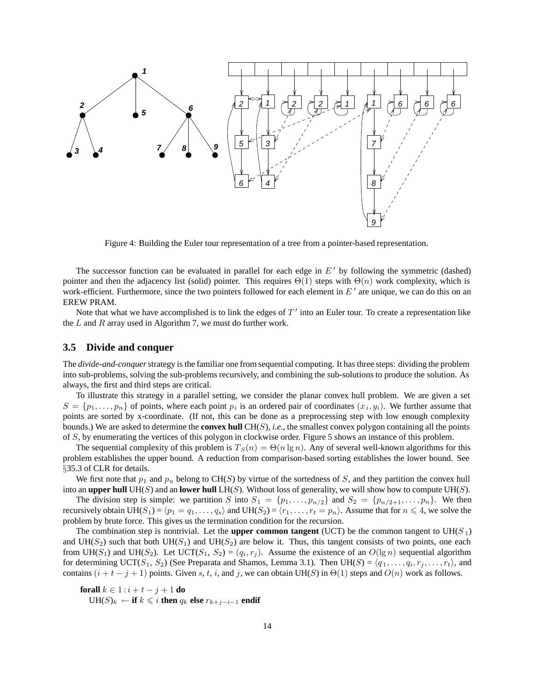

Figure 4: Building the Euler tour representation of a tree from a pointer-based representation.

The successor function can be evaluated in parallel for each edge in  $E'$  by following the symmetric (dashed) pointer and then the adjacency list (solid) pointer. This requires  $\Theta(1)$  steps with  $\Theta(n)$  work complexity, which is work-efficient. Furthermore, since the two pointers followed for each element in  $E'$  are unique, we can do this on an EREW PRAM.

Note that what we have accomplished is to link the edges of  $T'$  into an Euler tour. To create a representation like the  $L$  and  $R$  array used in Algorithm 7, we must do further work.

#### **3.5 Divide and conquer**

The *divide-and-conquer*strategy is the familiar one from sequential computing. It has three steps: dividing the problem into sub-problems, solving the sub-problems recursively, and combining the sub-solutions to produce the solution. As always, the first and third steps are critical.

To illustrate this strategy in a parallel setting, we consider the planar convex hull problem. We are given a set  $S = \{p_1, \ldots, p_n\}$  of points, where each point  $p_i$  is an ordered pair of coordinates  $(x_i, y_i)$ . We further assume that points are sorted by x-coordinate. (If not, this can be done as a preprocessing step with low enough complexity bounds.) We are asked to determine the **convex hull** CH(S), *i.e.*, the smallest convex polygon containing all the points of S, by enumerating the vertices of this polygon in clockwise order. Figure 5 shows an instance of this problem.

The sequential complexity of this problem is  $T_S(n) = \Theta(n \lg n)$ . Any of several well-known algorithms for this problem establishes the upper bound. A reduction from comparison-based sorting establishes the lower bound. See §35.3 of CLR for details.

We first note that  $p_1$  and  $p_n$  belong to CH(S) by virtue of the sortedness of S, and they partition the convex hull into an **upper hull** UH(S) and an **lower hull** LH(S). Without loss of generality, we will show how to compute UH(S).

The division step is simple: we partition S into  $S_1 = \{p_1, \ldots, p_{n/2}\}\$  and  $S_2 = \{p_{n/2+1}, \ldots, p_n\}$ . We then recursively obtain  $UH(S_1) = \langle p_1 = q_1, \ldots, q_s \rangle$  and  $UH(S_2) = \langle r_1, \ldots, r_t = p_n \rangle$ . Assume that for  $n \leq 4$ , we solve the problem by brute force. This gives us the termination condition for the recursion problem by brute force. This gives us the termination condition for the recursion.

The combination step is nontrivial. Let the **upper common tangent** (UCT) be the common tangent to UH( $S_1$ ) and UH(S<sub>2</sub>) such that both UH(S<sub>1</sub>) and UH(S<sub>2</sub>) are below it. Thus, this tangent consists of two points, one each from UH(S<sub>1</sub>) and UH(S<sub>2</sub>). Let UCT(S<sub>1</sub>, S<sub>2</sub>) = ( $q_i, r_j$ ). Assume the existence of an O(lg n) sequential algorithm for determining UCT( $S_1, S_2$ ) (See Preparata and Shamos, Lemma 3.1). Then UH( $S$ ) =  $\langle q_1, \ldots, q_i, r_j, \ldots, r_t \rangle$ , and contains  $(i + t - j + 1)$  points. Given s, t, i, and j, we can obtain UH(S) in  $\Theta(1)$  steps and  $O(n)$  work as follows.

**forall**  $k \in 1 : i + t - j + 1$  **do**  $UH(S)_{k}$  ← **if**  $k \leq i$  **then**  $q_{k}$  **else**  $r_{k+j-i-1}$  **endif**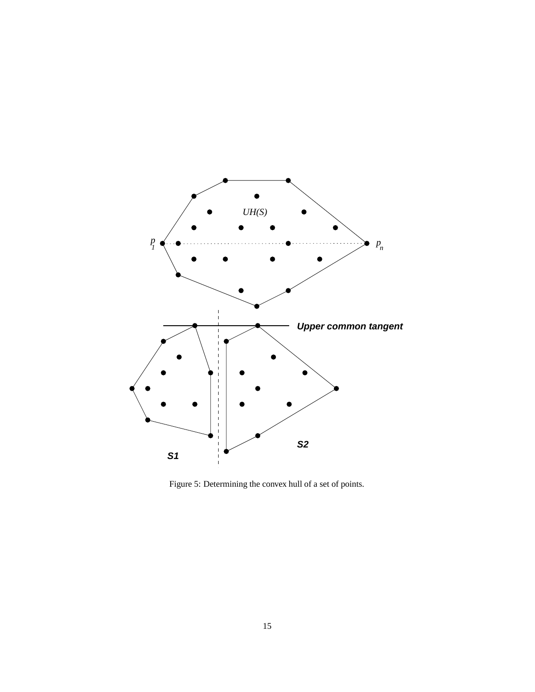

Figure 5: Determining the convex hull of a set of points.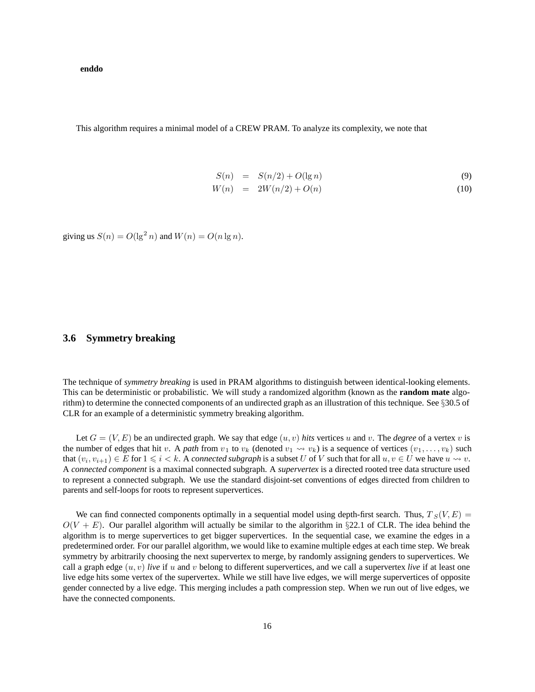**enddo**

This algorithm requires a minimal model of a CREW PRAM. To analyze its complexity, we note that

$$
S(n) = S(n/2) + O(\lg n)
$$
\n(9)

$$
W(n) = 2W(n/2) + O(n)
$$
\n(10)

giving us  $S(n) = O(\lg^2 n)$  and  $W(n) = O(n \lg n)$ .

#### **3.6 Symmetry breaking**

The technique of *symmetry breaking* is used in PRAM algorithms to distinguish between identical-looking elements. This can be deterministic or probabilistic. We will study a randomized algorithm (known as the **random mate** algorithm) to determine the connected components of an undirected graph as an illustration of this technique. See §30.5 of CLR for an example of a deterministic symmetry breaking algorithm.

Let  $G = (V, E)$  be an undirected graph. We say that edge  $(u, v)$  hits vertices u and v. The *degree* of a vertex v is the number of edges that hit v. A *path* from  $v_1$  to  $v_k$  (denoted  $v_1 \leadsto v_k$ ) is a sequence of vertices  $(v_1, \ldots, v_k)$  such that  $(v_i, v_{i+1}) \in E$  for  $1 \leq i < k$ . A *connected subgraph* is a subset U of V such that for all  $u, v \in U$  we have  $u \rightsquigarrow v$ .<br>A *connected component* is a maximal connected subgraph. A *supervertex* is a directed rooted tree A *connected component* is a maximal connected subgraph. A *supervertex* is a directed rooted tree data structure used to represent a connected subgraph. We use the standard disjoint-set conventions of edges directed from children to parents and self-loops for roots to represent supervertices.

We can find connected components optimally in a sequential model using depth-first search. Thus,  $T_S(V, E)$  $O(V + E)$ . Our parallel algorithm will actually be similar to the algorithm in §22.1 of CLR. The idea behind the algorithm is to merge supervertices to get bigger supervertices. In the sequential case, we examine the edges in a predetermined order. For our parallel algorithm, we would like to examine multiple edges at each time step. We break symmetry by arbitrarily choosing the next supervertex to merge, by randomly assigning genders to supervertices. We call a graph edge  $(u, v)$  *live* if u and v belong to different supervertices, and we call a supervertex *live* if at least one live edge hits some vertex of the supervertex. While we still have live edges, we will merge supervertices of opposite gender connected by a live edge. This merging includes a path compression step. When we run out of live edges, we have the connected components.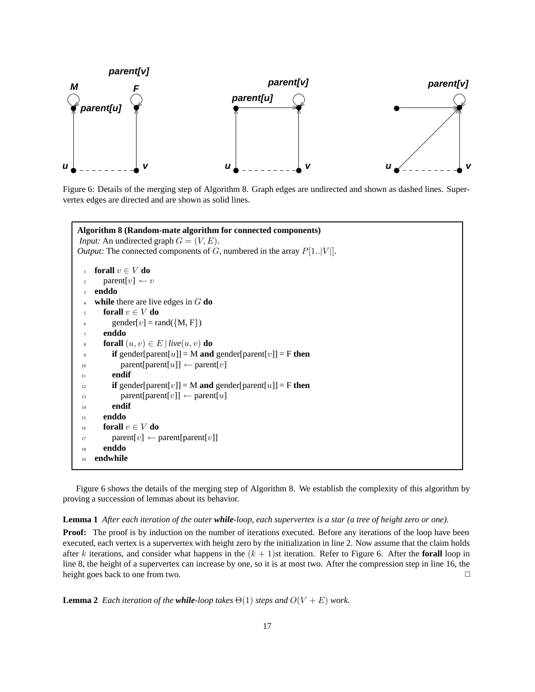

Figure 6: Details of the merging step of Algorithm 8. Graph edges are undirected and shown as dashed lines. Supervertex edges are directed and are shown as solid lines.

```
Algorithm 8 (Random-mate algorithm for connected components)
Input: An undirected graph G = (V, E).
Output: The connected components of G, numbered in the array P[1..|V|].
 1 forall v ∈ V do
 2 parent[v] \leftarrow v3 enddo
 4 while there are live edges in G do
       forall v \in V do
 6 gender[v] = rand({M, F})
       7 enddo
 s forall (u, v) \in E | live(u, v) do<br>if gender[parent[u]] = M and
          if gender[parent[u]] = M and gender[parent[v]] = F then
 10 parent[parent[u]] \leftarrow parent[v]
 11 endif
 \text{if gender}[\text{parent}[v]] = \text{M} \text{ and gender}[\text{parent}[u]] = \text{F} \text{ then}13 parent[parent[v]] \leftarrow parent[u]
 14 endif
 15 enddo
 16 forall v ∈ V do
 17 parent[v] \leftarrow parent[parent[v]]
 18 enddo
 19 endwhile
```
Figure 6 shows the details of the merging step of Algorithm 8. We establish the complexity of this algorithm by proving a succession of lemmas about its behavior.

**Lemma 1** *After each iteration of the outer while-loop, each supervertex is a star (a tree of height zero or one).*

**Proof:** The proof is by induction on the number of iterations executed. Before any iterations of the loop have been executed, each vertex is a supervertex with height zero by the initialization in line 2. Now assume that the claim holds after k iterations, and consider what happens in the  $(k + 1)$ st iteration. Refer to Figure 6. After the **forall** loop in line 8, the height of a supervertex can increase by one, so it is at most two. After the compression step in line 16, the height goes back to one from two.  $\Box$ 

**Lemma 2** *Each iteration of the while-loop takes*  $\Theta(1)$  *steps and*  $O(V + E)$  *work.*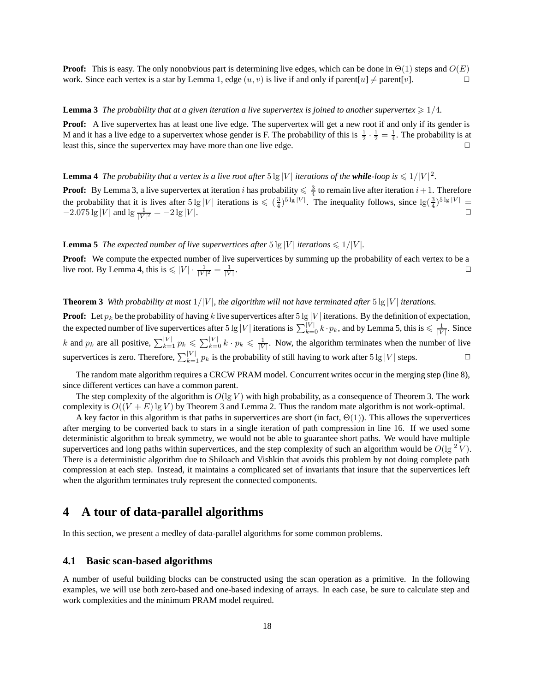**Proof:** This is easy. The only nonobvious part is determining live edges, which can be done in  $\Theta(1)$  steps and  $O(E)$  work. Since each vertex is a star by Lemma 1, edge  $(u, v)$  is live if and only if parent  $[u] \neq$  paren work. Since each vertex is a star by Lemma 1, edge  $(u, v)$  is live if and only if parent $[u] \neq$  parent $[v]$ .

#### **Lemma 3** *The probability that at a given iteration a live supervertex is joined to another supervertex*  $\geq 1/4$ *.*

**Proof:** A live supervertex has at least one live edge. The supervertex will get a new root if and only if its gender is M and it has a live edge to a supervertex whose gender is F. The probability of this is  $\frac{1}{2} \cdot \frac{1}{2} = \frac{1}{4}$ . The probability is at least this since the supervertex may have more than one live edge least this, since the supervertex may have more than one live edge.  $\Box$ 

# **Lemma 4** *The probability that a vertex is a live root after*  $5 \lg |V|$  *iterations of the while-loop is*  $\leq 1/|V|^2$ *.*

**Proof:** By Lemma 3, a live supervertex at iteration i has probability  $\leq \frac{3}{4}$  to remain live after iteration  $i+1$ . Therefore the probability that it is lives after  $5 \lg |V|$  iterations is  $\leq (3)5 \lg |V|$ . The inequal the probability that it is lives after  $5\lg|V|$  iterations is  $\leq (\frac{3}{4})^{5\lg|V|}$ . The inequality follows, since  $\lg(\frac{3}{4})^{5\lg|V|}$  = -2.075 lg |V| and lg  $\frac{1}{\sqrt{2}}$  = -2.08 |V|  $-2.075 \lg |V|$  and  $\lg \frac{1}{|V|^2} = -2 \lg |V|$ .

**Lemma 5** *The expected number of live supervertices after*  $5 \lg |V|$  *iterations*  $\leq 1/|V|$ *.* 

**Proof:** We compute the expected number of live supervertices by summing up the probability of each vertex to be a live root. By Lemma 4, this is  $\leq |V| \cdot \frac{1}{|V|^2} = \frac{1}{|V|}$  $\frac{1}{|V|}$ .

#### **Theorem 3** *With probability at most*  $1/|V|$ *, the algorithm will not have terminated after*  $5\lg |V|$  *iterations.*

**Proof:** Let  $p_k$  be the probability of having k live supervertices after 5 lg |V| iterations. By the definition of expectation, the superior of the property degree of the superior of the superior of the superior of the s the expected number of live supervertices after 5 lg |V| iterations is  $\sum_{k=0}^{|V|} k \cdot p_k$ , and by Lemma 5, this is  $\leq \frac{1}{|V|}$ . Since k and  $p_k$  are all positive,  $\sum_{k=1}^{|V|} p_k \leq \sum_{k=0}^{|V|} k \cdot p_k \leq \frac{1}{|V|}$ . Now, the algorithm terminates when the number of live supervertices is zero. Therefore,  $\sum_{k=1}^{|V|} p_k$  is the probability of still having to work after 5 lg |V| steps.

The random mate algorithm requires a CRCW PRAM model. Concurrent writes occur in the merging step (line 8), since different vertices can have a common parent.

The step complexity of the algorithm is  $O(\lg V)$  with high probability, as a consequence of Theorem 3. The work complexity is  $O((V + E) \lg V)$  by Theorem 3 and Lemma 2. Thus the random mate algorithm is not work-optimal.

A key factor in this algorithm is that paths in supervertices are short (in fact,  $\Theta(1)$ ). This allows the supervertices after merging to be converted back to stars in a single iteration of path compression in line 16. If we used some deterministic algorithm to break symmetry, we would not be able to guarantee short paths. We would have multiple supervertices and long paths within supervertices, and the step complexity of such an algorithm would be  $O(\lg^2 V)$ . There is a deterministic algorithm due to Shiloach and Vishkin that avoids this problem by not doing complete path compression at each step. Instead, it maintains a complicated set of invariants that insure that the supervertices left when the algorithm terminates truly represent the connected components.

## **4 A tour of data-parallel algorithms**

In this section, we present a medley of data-parallel algorithms for some common problems.

#### **4.1 Basic scan-based algorithms**

A number of useful building blocks can be constructed using the scan operation as a primitive. In the following examples, we will use both zero-based and one-based indexing of arrays. In each case, be sure to calculate step and work complexities and the minimum PRAM model required.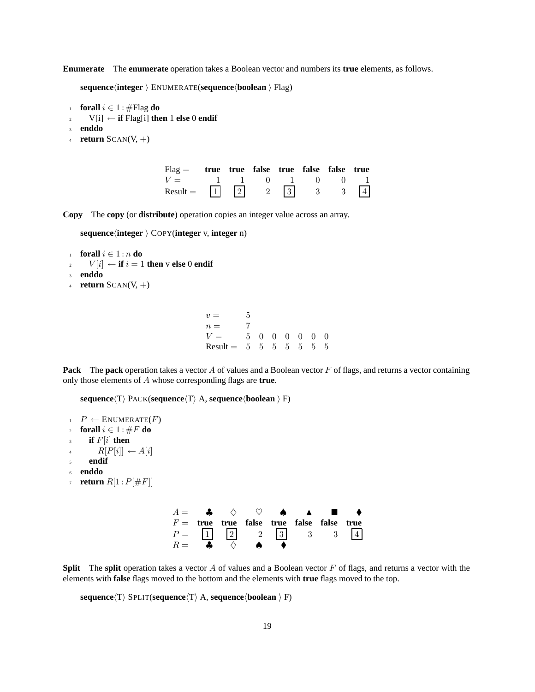**Enumerate** The **enumerate** operation takes a Boolean vector and numbers its **true** elements, as follows.

**sequenceinteger**  ENUMERATE(**sequenceboolean**  Flag)

- 
- 1 **forall**  $i \in 1$  : #Flag **do**<br>2 **V**[i] ← **if** Flag[i] **the** <sup>2</sup> V[i] ← **if** Flag[i] **then** 1 **else** 0 **endif**
- <sup>3</sup> **enddo**
- <sup>4</sup> **return** SCAN(V, +)

| $Flag =$ true true false true false false true                       |  |  |  |  |
|----------------------------------------------------------------------|--|--|--|--|
| $V =$ 1 1 0 1 0 0 1                                                  |  |  |  |  |
| Result = $\boxed{1}$ $\boxed{2}$ $\boxed{3}$ $\boxed{3}$ $\boxed{4}$ |  |  |  |  |

**Copy** The **copy** (or **distribute**) operation copies an integer value across an array.

**sequenceinteger**  COPY(**integer** v, **integer** n)

- 1 **forall**  $i \in 1 : n$  **do**<br>2  $V[i] \leftarrow$  **if**  $i = 1$  $V[i] \leftarrow$  **if**  $i = 1$  **then** v **else** 0 **endif**
- <sup>3</sup> **enddo**
- <sup>4</sup> **return** SCAN(V, +)

 $v = 5$ <br> $n = 7$  $\begin{array}{ccc} n = & 7 \\ V = & 5 \;\; 0 \;\; 0 \;\; 0 \;\; 0 \;\; 0 \;\; 0 \end{array}$  $V =$  5000000<br>
Result = 5555555 Result =  $5\,5\,5\,5\,5\,5\,5$ 

**Pack** The **pack** operation takes a vector A of values and a Boolean vector F of flags, and returns a vector containing only those elements of A whose corresponding flags are **true**.

 $sequence(T)$   $PACK$ (**sequence** $(T)$  A, **sequence** $(boolean)$  F)

```
P \leftarrow ENUMERATE(F)c for all i \in 1: \#F do if F[i] then
if F[i] then<br>a R[P[i]] \leftarrow4 R[P[i]] \leftarrow A[i]<br>5 endif
       5 endif
6 enddo
return R[1 : P[\#F]]
```

|  |                        |  | $A =$ $\bullet$ $\diamond$ $\circ$ $\bullet$ $\bullet$ $\bullet$ $\bullet$ |  |
|--|------------------------|--|----------------------------------------------------------------------------|--|
|  |                        |  | $F =$ true true false true false false true                                |  |
|  |                        |  | $P = \begin{bmatrix} 1 & 2 & 2 & 3 & 3 & 3 & 4 \end{bmatrix}$              |  |
|  | $R =$ 4 $\diamond$ 4 4 |  |                                                                            |  |
|  |                        |  |                                                                            |  |

**Split** The **split** operation takes a vector A of values and a Boolean vector F of flags, and returns a vector with the elements with **false** flags moved to the bottom and the elements with **true** flags moved to the top.

 $sequence(T)$  SPLIT(**sequence** $\langle T \rangle$  A, **sequence** $\langle$ **boolean**  $\rangle$  F)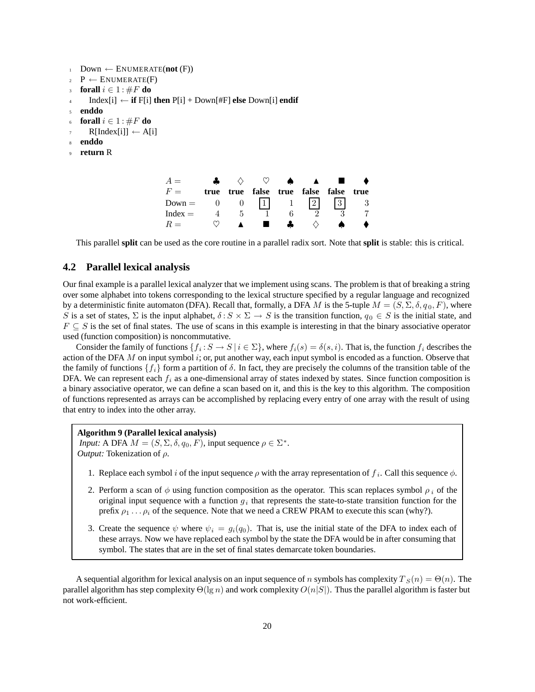```
1 Down \leftarrow ENUMERATE(not (F))
P \leftarrow ENUMERATE(F)
3 forall i \in 1 : #F do<br>4 Index [i] ← if F[i]
        4 Index[i] ← if F[i] then P[i] + Down[#F] else Down[i] endif
5 enddo
    forall i \in 1: \#F do
        R[Index[i]] \leftarrow A[i]8 enddo
    9 return R
                                        A = \clubsuit \diamondsuit \diamondsuit \diamondsuit \spadesuit \spadesuit \spadesuit \spadesuitF = true true false true false false true<br>Down = 0 0 1 1 1 2 2
                                        Down = 0 0 \begin{array}{ccc} 1 & 1 & 2 & 3 \\ \text{Index} & 4 & 5 & 1 & 6 & 2 \end{array}Index = \begin{array}{ccccccccc} 4 & 5 & 1 & 6 & 2 & 3 & 7 \\ R & & \heartsuit & \bullet & \bullet & \bullet & \bullet & \bullet \end{array}
```
 $R = \nabla$  **a i**  $\clubsuit$   $\diamondsuit$   $\spadesuit$ This parallel **split** can be used as the core routine in a parallel radix sort. Note that **split** is stable: this is critical.

#### **4.2 Parallel lexical analysis**

Our final example is a parallel lexical analyzer that we implement using scans. The problem is that of breaking a string over some alphabet into tokens corresponding to the lexical structure specified by a regular language and recognized by a deterministic finite automaton (DFA). Recall that, formally, a DFA M is the 5-tuple  $M = (S, \Sigma, \delta, q_0, F)$ , where S is a set of states,  $\Sigma$  is the input alphabet,  $\delta : S \times \Sigma \to S$  is the transition function,  $q_0 \in S$  is the initial state, and  $F \subseteq S$  is the set of final states. The use of scans in this example is interesting in that the binary associative operator used (function composition) is noncommutative.

Consider the family of functions  $\{f_i : S \to S \mid i \in \Sigma\}$ , where  $f_i(s) = \delta(s, i)$ . That is, the function  $f_i$  describes the action of the DFA  $M$  on input symbol  $i$ ; or, put another way, each input symbol is encoded as a function. Observe that the family of functions  $\{f_i\}$  form a partition of  $\delta$ . In fact, they are precisely the columns of the transition table of the DFA. We can represent each  $f_i$  as a one-dimensional array of states indexed by states. Since function composition is a binary associative operator, we can define a scan based on it, and this is the key to this algorithm. The composition of functions represented as arrays can be accomplished by replacing every entry of one array with the result of using that entry to index into the other array.

#### **Algorithm 9 (Parallel lexical analysis)**

*Input:* A DFA  $M = (S, \Sigma, \delta, q_0, F)$ , input sequence  $\rho \in \Sigma^*$ . *Output:* Tokenization of ρ.

- 1. Replace each symbol i of the input sequence  $\rho$  with the array representation of  $f_i$ . Call this sequence  $\phi$ .
- 2. Perform a scan of  $\phi$  using function composition as the operator. This scan replaces symbol  $\rho_i$  of the original input sequence with a function  $q_i$  that represents the state-to-state transition function for the prefix  $\rho_1 \dots \rho_i$  of the sequence. Note that we need a CREW PRAM to execute this scan (why?).
- 3. Create the sequence  $\psi$  where  $\psi_i = g_i(q_0)$ . That is, use the initial state of the DFA to index each of these arrays. Now we have replaced each symbol by the state the DFA would be in after consuming that symbol. The states that are in the set of final states demarcate token boundaries.

A sequential algorithm for lexical analysis on an input sequence of n symbols has complexity  $T_S(n) = \Theta(n)$ . The parallel algorithm has step complexity  $\Theta(\lg n)$  and work complexity  $O(n|S|)$ . Thus the parallel algorithm is faster but not work-efficient.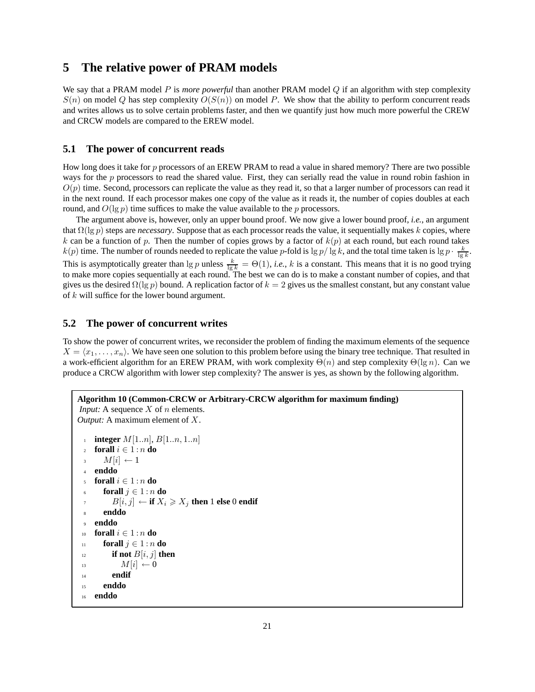## **5 The relative power of PRAM models**

We say that a PRAM model P is *more powerful* than another PRAM model Q if an algorithm with step complexity  $S(n)$  on model Q has step complexity  $O(S(n))$  on model P. We show that the ability to perform concurrent reads and writes allows us to solve certain problems faster, and then we quantify just how much more powerful the CREW and CRCW models are compared to the EREW model.

#### **5.1 The power of concurrent reads**

How long does it take for  $p$  processors of an EREW PRAM to read a value in shared memory? There are two possible ways for the  $p$  processors to read the shared value. First, they can serially read the value in round robin fashion in  $O(p)$  time. Second, processors can replicate the value as they read it, so that a larger number of processors can read it in the next round. If each processor makes one copy of the value as it reads it, the number of copies doubles at each round, and  $O(\lg p)$  time suffices to make the value available to the p processors.

The argument above is, however, only an upper bound proof. We now give a lower bound proof, *i.e.*, an argument that  $\Omega(\lg p)$  steps are *necessary*. Suppose that as each processor reads the value, it sequentially makes k copies, where k can be a function of p. Then the number of copies grows by a factor of  $k(p)$  at each round, but each round takes  $k(p)$  time. The number of rounds needed to replicate the value p-fold is  $\lg p / \lg k$ , and the total time taken is  $\lg p \cdot \frac{k}{\lg k}$ . This is asymptotically greater than  $\lg p$  unless  $\frac{k}{\lg k} = \Theta(1)$ , *i.e.*, *k* is a constant. This means that it is no good trying to make more copies sequentially at each round. The best we can do is to make a constant n gives us the desired  $\Omega(\lg p)$  bound. A replication factor of  $k = 2$  gives us the smallest constant, but any constant value of  $k$  will suffice for the lower bound argument.

#### **5.2 The power of concurrent writes**

To show the power of concurrent writes, we reconsider the problem of finding the maximum elements of the sequence  $X = \langle x_1, \ldots, x_n \rangle$ . We have seen one solution to this problem before using the binary tree technique. That resulted in a work-efficient algorithm for an EREW PRAM, with work complexity  $\Theta(n)$  and step complexity  $\Theta(\lg n)$ . Can we produce a CRCW algorithm with lower step complexity? The answer is yes, as shown by the following algorithm.

```
Algorithm 10 (Common-CRCW or Arbitrary-CRCW algorithm for maximum finding)
Input: A sequence X of n elements.
Output: A maximum element of X.
  i integer M[1..n], B[1..n, 1..n]<br>
forall i \in 1:n do
  forall i \in 1:n do<br>M[i] \leftarrow 1\frac{3}{4} enddo
     4 enddo

        forall j \in 1 : n do
  n B[i, j] ← if X_i \ge X_j then 1 else 0 endif
        8 enddo
  9 enddo
 10 forall i \in 1 : n do<br>11 forall j \in 1 : n11 forall j \in 1 : n do<br>if not B[i, j] th
 if not B[i, j] then<br>M[i] \leftarrow 0<sup>13</sup> M[i] \leftarrow 0<br><sup>14</sup> endif
            endif
 15 enddo
 16 enddo
```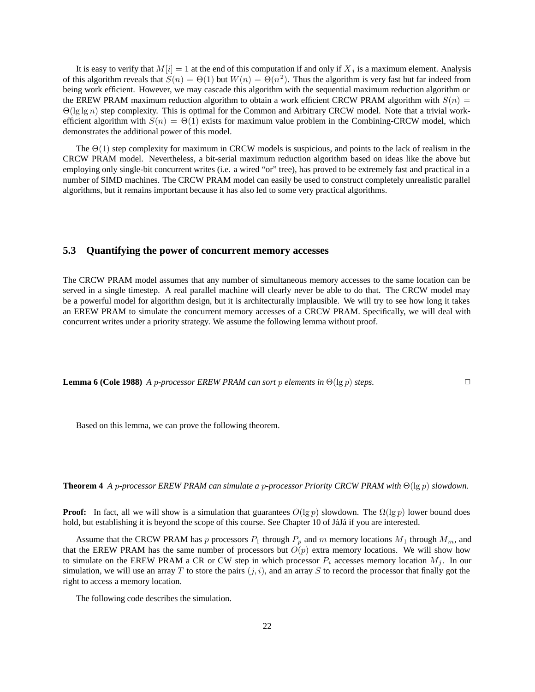It is easy to verify that  $M[i]=1$  at the end of this computation if and only if  $X_i$  is a maximum element. Analysis of this algorithm reveals that  $S(n) = \Theta(1)$  but  $W(n) = \Theta(n^2)$ . Thus the algorithm is very fast but far indeed from being work efficient. However, we may cascade this algorithm with the sequential maximum reduction algorithm or the EREW PRAM maximum reduction algorithm to obtain a work efficient CRCW PRAM algorithm with  $S(n)$  =  $\Theta(\lg \lg n)$  step complexity. This is optimal for the Common and Arbitrary CRCW model. Note that a trivial workefficient algorithm with  $S(n) = \Theta(1)$  exists for maximum value problem in the Combining-CRCW model, which demonstrates the additional power of this model.

The  $\Theta(1)$  step complexity for maximum in CRCW models is suspicious, and points to the lack of realism in the CRCW PRAM model. Nevertheless, a bit-serial maximum reduction algorithm based on ideas like the above but employing only single-bit concurrent writes (i.e. a wired "or" tree), has proved to be extremely fast and practical in a number of SIMD machines. The CRCW PRAM model can easily be used to construct completely unrealistic parallel algorithms, but it remains important because it has also led to some very practical algorithms.

#### **5.3 Quantifying the power of concurrent memory accesses**

The CRCW PRAM model assumes that any number of simultaneous memory accesses to the same location can be served in a single timestep. A real parallel machine will clearly never be able to do that. The CRCW model may be a powerful model for algorithm design, but it is architecturally implausible. We will try to see how long it takes an EREW PRAM to simulate the concurrent memory accesses of a CRCW PRAM. Specifically, we will deal with concurrent writes under a priority strategy. We assume the following lemma without proof.

**Lemma 6 (Cole 1988)** *A* p-processor EREW PRAM can sort p elements in  $\Theta(\lg p)$  steps.

Based on this lemma, we can prove the following theorem.

**Theorem 4** *<sup>A</sup>* <sup>p</sup>*-processor EREW PRAM can simulate a* <sup>p</sup>*-processor Priority CRCW PRAM with* Θ(lg <sup>p</sup>) *slowdown.*

**Proof:** In fact, all we will show is a simulation that guarantees  $O(\lg p)$  slowdown. The  $\Omega(\lg p)$  lower bound does hold, but establishing it is beyond the scope of this course. See Chapter 10 of JáJá if you are interested.

Assume that the CRCW PRAM has p processors  $P_1$  through  $P_p$  and m memory locations  $M_1$  through  $M_m$ , and that the EREW PRAM has the same number of processors but  $O(p)$  extra memory locations. We will show how to simulate on the EREW PRAM a CR or CW step in which processor  $P_i$  accesses memory location  $M_j$ . In our simulation, we will use an array T to store the pairs  $(j, i)$ , and an array S to record the processor that finally got the right to access a memory location.

The following code describes the simulation.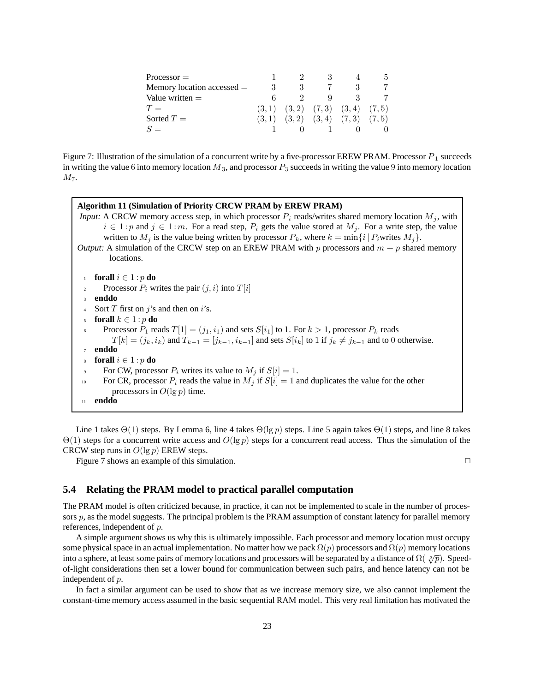| $Processor =$                |       |                                         |  |
|------------------------------|-------|-----------------------------------------|--|
| Memory location accessed $=$ |       |                                         |  |
| Value written $=$            |       | Q                                       |  |
| $T =$                        |       | $(3,1)$ $(3,2)$ $(7,3)$ $(3,4)$ $(7,5)$ |  |
| Sorted $T=$                  | (3,1) | $(3,2)$ $(3,4)$ $(7,3)$ $(7,5)$         |  |
| $S =$                        |       |                                         |  |
|                              |       |                                         |  |

Figure 7: Illustration of the simulation of a concurrent write by a five-processor EREW PRAM. Processor  $P_1$  succeeds in writing the value 6 into memory location  $M_3$ , and processor  $P_3$  succeeds in writing the value 9 into memory location  $M_7$ .

| Algorithm 11 (Simulation of Priority CRCW PRAM by EREW PRAM)<br><i>Input:</i> A CRCW memory access step, in which processor $P_i$ reads/writes shared memory location $M_i$ , with<br>$i \in 1$ : p and $j \in 1$ : m. For a read step, $P_i$ gets the value stored at $M_i$ . For a write step, the value<br>written to $M_i$ is the value being written by processor $P_k$ , where $k = \min\{i \mid P_i$ writes $M_i\}$ .<br><i>Output:</i> A simulation of the CRCW step on an EREW PRAM with p processors and $m + p$ shared memory |  |  |  |  |  |  |
|------------------------------------------------------------------------------------------------------------------------------------------------------------------------------------------------------------------------------------------------------------------------------------------------------------------------------------------------------------------------------------------------------------------------------------------------------------------------------------------------------------------------------------------|--|--|--|--|--|--|
| locations.                                                                                                                                                                                                                                                                                                                                                                                                                                                                                                                               |  |  |  |  |  |  |
| <b>forall</b> $i \in 1 : p$ do<br>$\mathbf{1}$                                                                                                                                                                                                                                                                                                                                                                                                                                                                                           |  |  |  |  |  |  |
| Processor $P_i$ writes the pair $(j, i)$ into $T[i]$<br>$\mathfrak{D}$                                                                                                                                                                                                                                                                                                                                                                                                                                                                   |  |  |  |  |  |  |
| enddo<br>$\mathbf{3}$                                                                                                                                                                                                                                                                                                                                                                                                                                                                                                                    |  |  |  |  |  |  |
| Sort T first on j's and then on i's.                                                                                                                                                                                                                                                                                                                                                                                                                                                                                                     |  |  |  |  |  |  |
| <b>forall</b> $k \in 1:p$ <b>do</b><br>5                                                                                                                                                                                                                                                                                                                                                                                                                                                                                                 |  |  |  |  |  |  |
| Processor $P_1$ reads $T[1] = (j_1, i_1)$ and sets $S[i_1]$ to 1. For $k > 1$ , processor $P_k$ reads<br>6                                                                                                                                                                                                                                                                                                                                                                                                                               |  |  |  |  |  |  |
| $T[k] = (j_k, i_k)$ and $T_{k-1} = [j_{k-1}, i_{k-1}]$ and sets $S[i_k]$ to 1 if $j_k \neq j_{k-1}$ and to 0 otherwise.                                                                                                                                                                                                                                                                                                                                                                                                                  |  |  |  |  |  |  |
| enddo<br>$\tau$                                                                                                                                                                                                                                                                                                                                                                                                                                                                                                                          |  |  |  |  |  |  |
| <b>forall</b> $i \in 1 : p$ do<br>8                                                                                                                                                                                                                                                                                                                                                                                                                                                                                                      |  |  |  |  |  |  |
| For CW, processor $P_i$ writes its value to $M_i$ if $S[i] = 1$ .<br>$\overline{9}$                                                                                                                                                                                                                                                                                                                                                                                                                                                      |  |  |  |  |  |  |
| For CR, processor $P_i$ reads the value in $M_i$ if $S[i] = 1$ and duplicates the value for the other<br>10                                                                                                                                                                                                                                                                                                                                                                                                                              |  |  |  |  |  |  |
| processors in $O(\lg p)$ time.                                                                                                                                                                                                                                                                                                                                                                                                                                                                                                           |  |  |  |  |  |  |
| enddo<br>11                                                                                                                                                                                                                                                                                                                                                                                                                                                                                                                              |  |  |  |  |  |  |

Line 1 takes  $\Theta(1)$  steps. By Lemma 6, line 4 takes  $\Theta(\lg p)$  steps. Line 5 again takes  $\Theta(1)$  steps, and line 8 takes  $Θ(1)$  steps for a concurrent write access and  $O(\lg p)$  steps for a concurrent read access. Thus the simulation of the CRCW step runs in  $O(\lg p)$  EREW steps.

Figure 7 shows an example of this simulation.  $\Box$ 

### **5.4 Relating the PRAM model to practical parallel computation**

The PRAM model is often criticized because, in practice, it can not be implemented to scale in the number of processors  $p$ , as the model suggests. The principal problem is the PRAM assumption of constant latency for parallel memory references, independent of p.

A simple argument shows us why this is ultimately impossible. Each processor and memory location must occupy some physical space in an actual implementation. No matter how we pack  $\Omega(p)$  processors and  $\Omega(p)$  memory locations into a sphere, at least some pairs of memory locations and processors will be separated by a distance of  $\Omega(\sqrt[n]{p})$ . Speedof-light considerations then set a lower bound for communication between such pairs, and hence latency can not be independent of p.

In fact a similar argument can be used to show that as we increase memory size, we also cannot implement the constant-time memory access assumed in the basic sequential RAM model. This very real limitation has motivated the